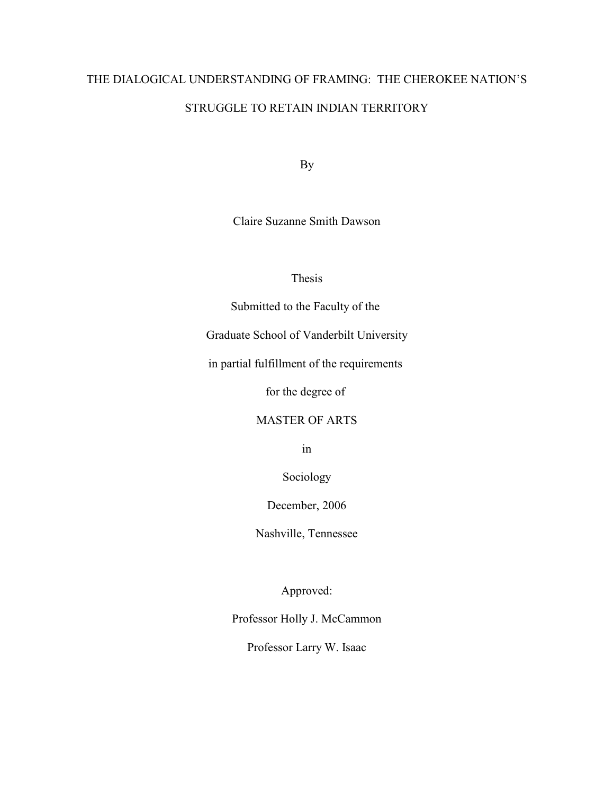# THE DIALOGICAL UNDERSTANDING OF FRAMING: THE CHEROKEE NATION'S STRUGGLE TO RETAIN INDIAN TERRITORY

By

Claire Suzanne Smith Dawson

Thesis

Submitted to the Faculty of the

Graduate School of Vanderbilt University

in partial fulfillment of the requirements

for the degree of

# MASTER OF ARTS

in

Sociology

December, 2006

Nashville, Tennessee

Approved:

Professor Holly J. McCammon

Professor Larry W. Isaac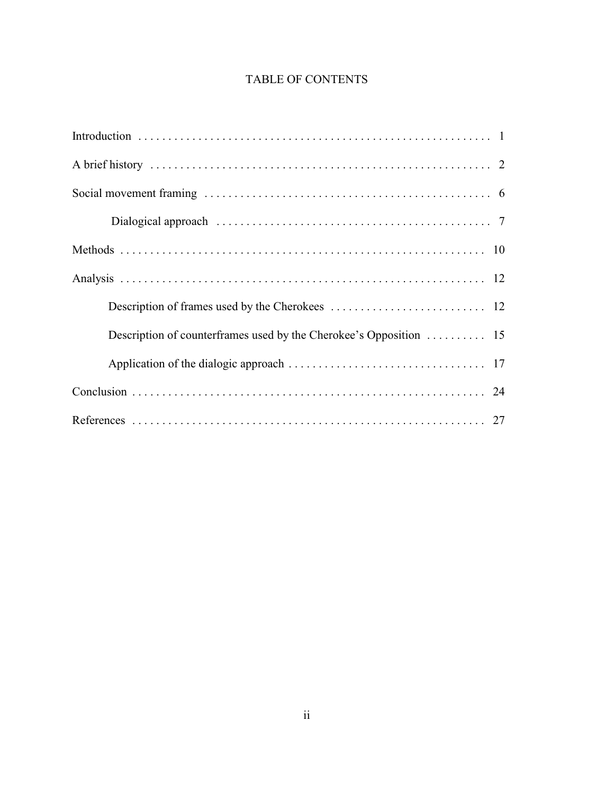# TABLE OF CONTENTS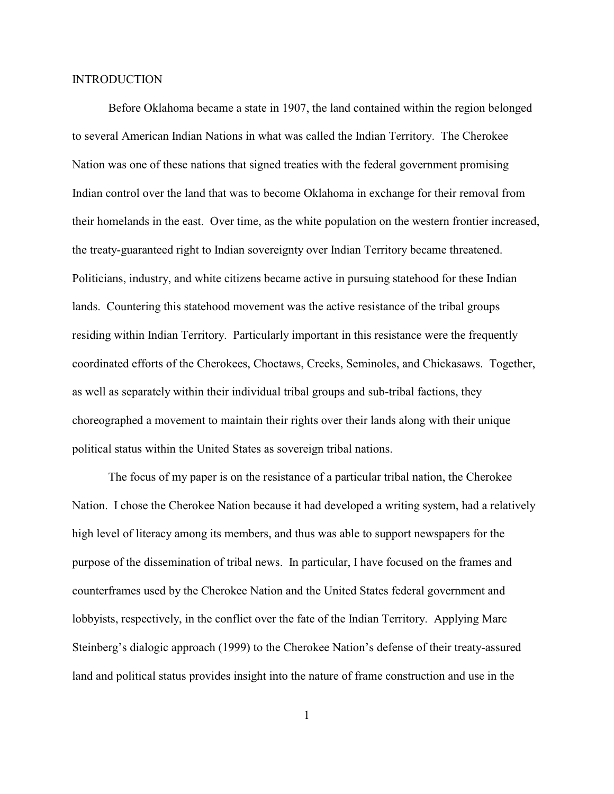#### INTRODUCTION

Before Oklahoma became a state in 1907, the land contained within the region belonged to several American Indian Nations in what was called the Indian Territory. The Cherokee Nation was one of these nations that signed treaties with the federal government promising Indian control over the land that was to become Oklahoma in exchange for their removal from their homelands in the east. Over time, as the white population on the western frontier increased, the treaty-guaranteed right to Indian sovereignty over Indian Territory became threatened. Politicians, industry, and white citizens became active in pursuing statehood for these Indian lands. Countering this statehood movement was the active resistance of the tribal groups residing within Indian Territory. Particularly important in this resistance were the frequently coordinated efforts of the Cherokees, Choctaws, Creeks, Seminoles, and Chickasaws. Together, as well as separately within their individual tribal groups and sub-tribal factions, they choreographed a movement to maintain their rights over their lands along with their unique political status within the United States as sovereign tribal nations.

The focus of my paper is on the resistance of a particular tribal nation, the Cherokee Nation. I chose the Cherokee Nation because it had developed a writing system, had a relatively high level of literacy among its members, and thus was able to support newspapers for the purpose of the dissemination of tribal news. In particular, I have focused on the frames and counterframes used by the Cherokee Nation and the United States federal government and lobbyists, respectively, in the conflict over the fate of the Indian Territory. Applying Marc Steinberg's dialogic approach (1999) to the Cherokee Nation's defense of their treaty-assured land and political status provides insight into the nature of frame construction and use in the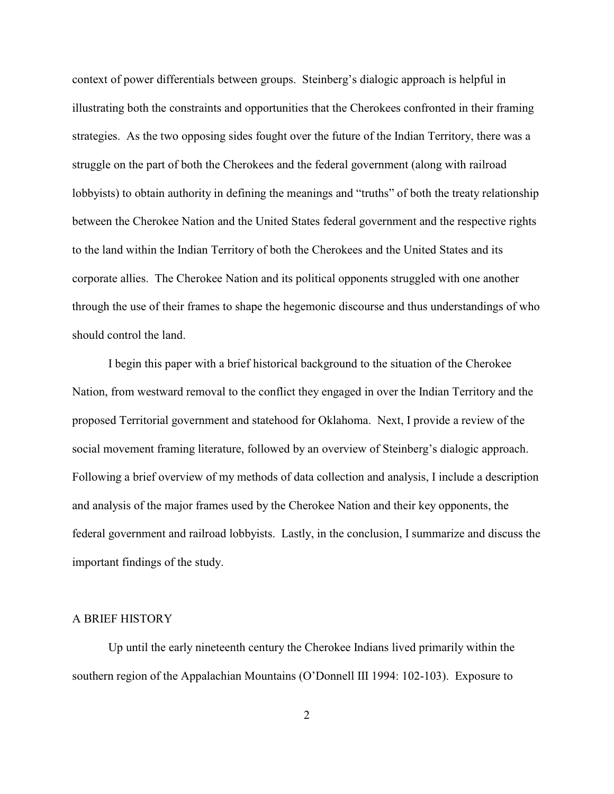context of power differentials between groups. Steinberg's dialogic approach is helpful in illustrating both the constraints and opportunities that the Cherokees confronted in their framing strategies. As the two opposing sides fought over the future of the Indian Territory, there was a struggle on the part of both the Cherokees and the federal government (along with railroad lobbyists) to obtain authority in defining the meanings and "truths" of both the treaty relationship between the Cherokee Nation and the United States federal government and the respective rights to the land within the Indian Territory of both the Cherokees and the United States and its corporate allies. The Cherokee Nation and its political opponents struggled with one another through the use of their frames to shape the hegemonic discourse and thus understandings of who should control the land.

I begin this paper with a brief historical background to the situation of the Cherokee Nation, from westward removal to the conflict they engaged in over the Indian Territory and the proposed Territorial government and statehood for Oklahoma. Next, I provide a review of the social movement framing literature, followed by an overview of Steinberg's dialogic approach. Following a brief overview of my methods of data collection and analysis, I include a description and analysis of the major frames used by the Cherokee Nation and their key opponents, the federal government and railroad lobbyists. Lastly, in the conclusion, I summarize and discuss the important findings of the study.

# A BRIEF HISTORY

Up until the early nineteenth century the Cherokee Indians lived primarily within the southern region of the Appalachian Mountains (O'Donnell III 1994: 102-103). Exposure to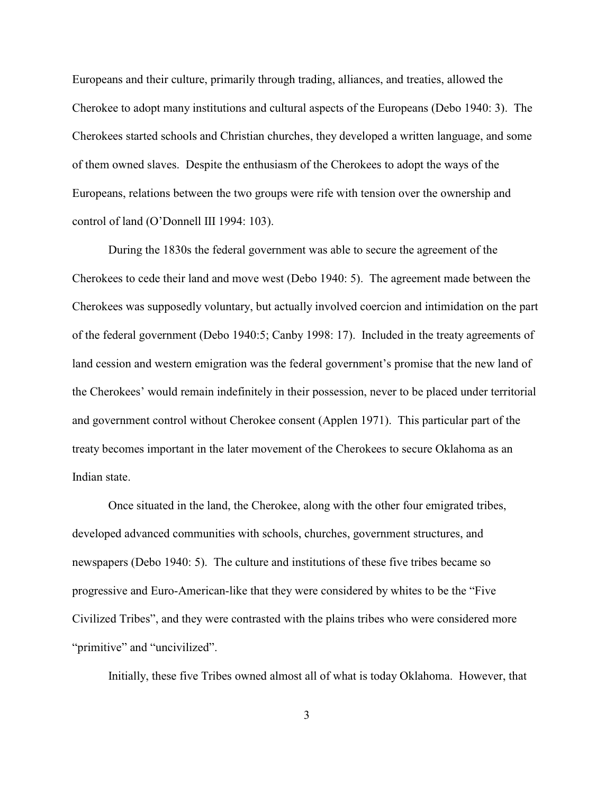Europeans and their culture, primarily through trading, alliances, and treaties, allowed the Cherokee to adopt many institutions and cultural aspects of the Europeans (Debo 1940: 3). The Cherokees started schools and Christian churches, they developed a written language, and some of them owned slaves. Despite the enthusiasm of the Cherokees to adopt the ways of the Europeans, relations between the two groups were rife with tension over the ownership and control of land (O'Donnell III 1994: 103).

During the 1830s the federal government was able to secure the agreement of the Cherokees to cede their land and move west (Debo 1940: 5). The agreement made between the Cherokees was supposedly voluntary, but actually involved coercion and intimidation on the part of the federal government (Debo 1940:5; Canby 1998: 17). Included in the treaty agreements of land cession and western emigration was the federal government's promise that the new land of the Cherokees' would remain indefinitely in their possession, never to be placed under territorial and government control without Cherokee consent (Applen 1971). This particular part of the treaty becomes important in the later movement of the Cherokees to secure Oklahoma as an Indian state.

Once situated in the land, the Cherokee, along with the other four emigrated tribes, developed advanced communities with schools, churches, government structures, and newspapers (Debo 1940: 5). The culture and institutions of these five tribes became so progressive and Euro-American-like that they were considered by whites to be the "Five Civilized Tribes", and they were contrasted with the plains tribes who were considered more "primitive" and "uncivilized".

Initially, these five Tribes owned almost all of what is today Oklahoma. However, that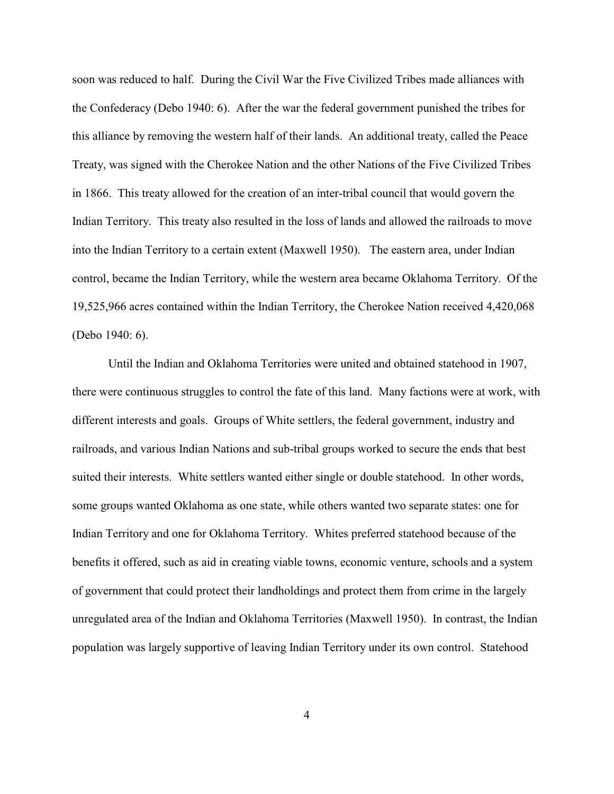soon was reduced to half. During the Civil War the Five Civilized Tribes made alliances with the Confederacy (Debo 1940: 6). After the war the federal government punished the tribes for this alliance by removing the western half of their lands. An additional treaty, called the Peace Treaty, was signed with the Cherokee Nation and the other Nations of the Five Civilized Tribes in 1866. This treaty allowed for the creation of an inter-tribal council that would govern the Indian Territory. This treaty also resulted in the loss of lands and allowed the railroads to move into the Indian Territory to a certain extent (Maxwell 1950). The eastern area, under Indian control, became the Indian Territory, while the western area became Oklahoma Territory. Of the 19,525,966 acres contained within the Indian Territory, the Cherokee Nation received 4,420,068 (Debo 1940: 6).

Until the Indian and Oklahoma Territories were united and obtained statehood in 1907, there were continuous struggles to control the fate of this land. Many factions were at work, with different interests and goals. Groups of White settlers, the federal government, industry and railroads, and various Indian Nations and sub-tribal groups worked to secure the ends that best suited their interests. White settlers wanted either single or double statehood. In other words, some groups wanted Oklahoma as one state, while others wanted two separate states: one for Indian Territory and one for Oklahoma Territory. Whites preferred statehood because of the benefits it offered, such as aid in creating viable towns, economic venture, schools and a system of government that could protect their landholdings and protect them from crime in the largely unregulated area of the Indian and Oklahoma Territories (Maxwell 1950). In contrast, the Indian population was largely supportive of leaving Indian Territory under its own control. Statehood

4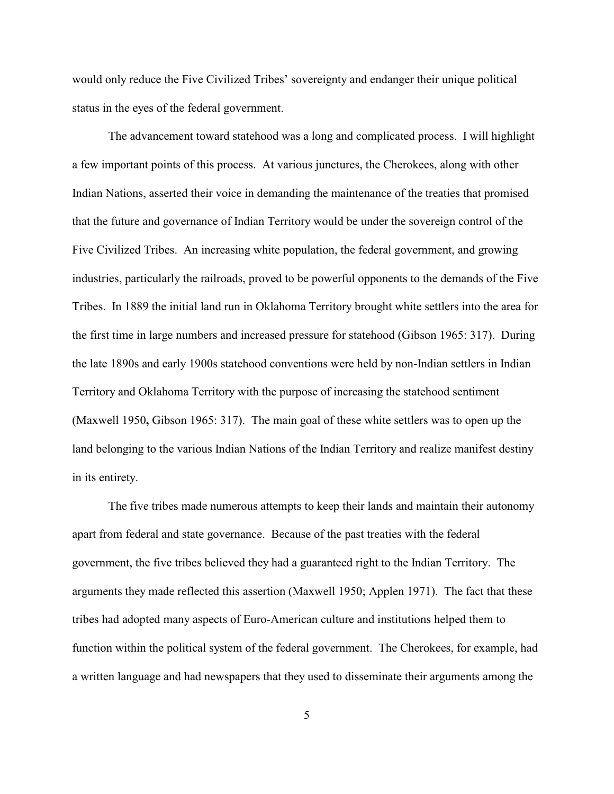would only reduce the Five Civilized Tribes' sovereignty and endanger their unique political status in the eyes of the federal government.

The advancement toward statehood was a long and complicated process. I will highlight a few important points of this process. At various junctures, the Cherokees, along with other Indian Nations, asserted their voice in demanding the maintenance of the treaties that promised that the future and governance of Indian Territory would be under the sovereign control of the Five Civilized Tribes. An increasing white population, the federal government, and growing industries, particularly the railroads, proved to be powerful opponents to the demands of the Five Tribes. In 1889 the initial land run in Oklahoma Territory brought white settlers into the area for the first time in large numbers and increased pressure for statehood (Gibson 1965: 317). During the late 1890s and early 1900s statehood conventions were held by non-Indian settlers in Indian Territory and Oklahoma Territory with the purpose of increasing the statehood sentiment (Maxwell 1950**,** Gibson 1965: 317). The main goal of these white settlers was to open up the land belonging to the various Indian Nations of the Indian Territory and realize manifest destiny in its entirety.

The five tribes made numerous attempts to keep their lands and maintain their autonomy apart from federal and state governance. Because of the past treaties with the federal government, the five tribes believed they had a guaranteed right to the Indian Territory. The arguments they made reflected this assertion (Maxwell 1950; Applen 1971). The fact that these tribes had adopted many aspects of Euro-American culture and institutions helped them to function within the political system of the federal government. The Cherokees, for example, had a written language and had newspapers that they used to disseminate their arguments among the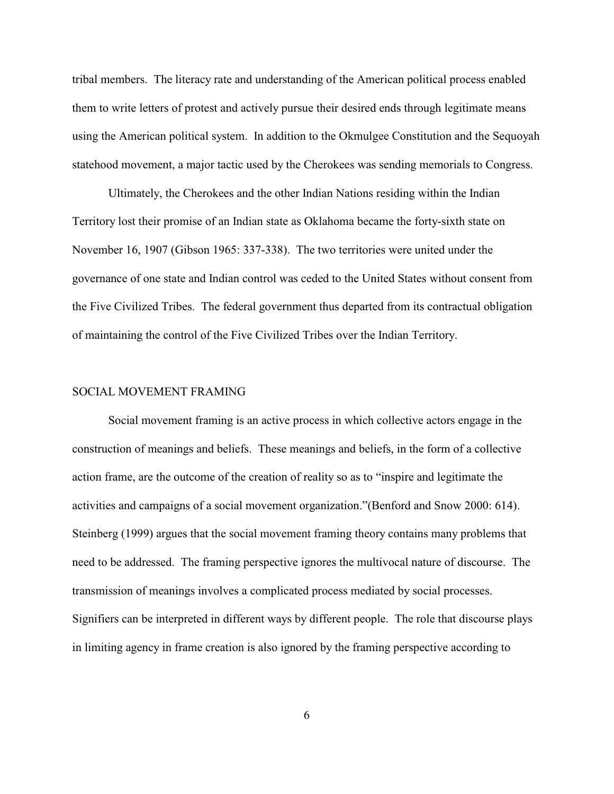tribal members. The literacy rate and understanding of the American political process enabled them to write letters of protest and actively pursue their desired ends through legitimate means using the American political system. In addition to the Okmulgee Constitution and the Sequoyah statehood movement, a major tactic used by the Cherokees was sending memorials to Congress.

Ultimately, the Cherokees and the other Indian Nations residing within the Indian Territory lost their promise of an Indian state as Oklahoma became the forty-sixth state on November 16, 1907 (Gibson 1965: 337-338). The two territories were united under the governance of one state and Indian control was ceded to the United States without consent from the Five Civilized Tribes. The federal government thus departed from its contractual obligation of maintaining the control of the Five Civilized Tribes over the Indian Territory.

#### SOCIAL MOVEMENT FRAMING

Social movement framing is an active process in which collective actors engage in the construction of meanings and beliefs. These meanings and beliefs, in the form of a collective action frame, are the outcome of the creation of reality so as to "inspire and legitimate the activities and campaigns of a social movement organization."(Benford and Snow 2000: 614). Steinberg (1999) argues that the social movement framing theory contains many problems that need to be addressed. The framing perspective ignores the multivocal nature of discourse. The transmission of meanings involves a complicated process mediated by social processes. Signifiers can be interpreted in different ways by different people. The role that discourse plays in limiting agency in frame creation is also ignored by the framing perspective according to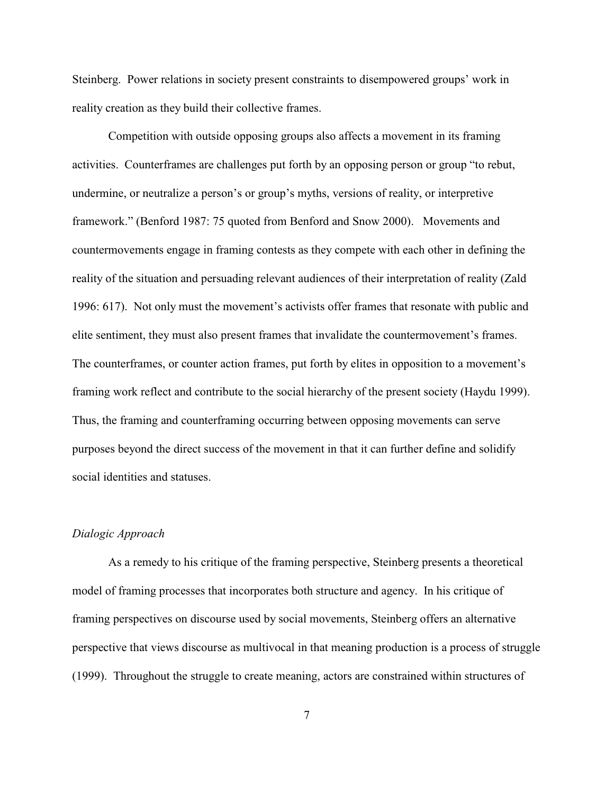Steinberg. Power relations in society present constraints to disempowered groups' work in reality creation as they build their collective frames.

Competition with outside opposing groups also affects a movement in its framing activities. Counterframes are challenges put forth by an opposing person or group "to rebut, undermine, or neutralize a person's or group's myths, versions of reality, or interpretive framework." (Benford 1987: 75 quoted from Benford and Snow 2000). Movements and countermovements engage in framing contests as they compete with each other in defining the reality of the situation and persuading relevant audiences of their interpretation of reality (Zald 1996: 617). Not only must the movement's activists offer frames that resonate with public and elite sentiment, they must also present frames that invalidate the countermovement's frames. The counterframes, or counter action frames, put forth by elites in opposition to a movement's framing work reflect and contribute to the social hierarchy of the present society (Haydu 1999). Thus, the framing and counterframing occurring between opposing movements can serve purposes beyond the direct success of the movement in that it can further define and solidify social identities and statuses.

#### *Dialogic Approach*

As a remedy to his critique of the framing perspective, Steinberg presents a theoretical model of framing processes that incorporates both structure and agency. In his critique of framing perspectives on discourse used by social movements, Steinberg offers an alternative perspective that views discourse as multivocal in that meaning production is a process of struggle (1999). Throughout the struggle to create meaning, actors are constrained within structures of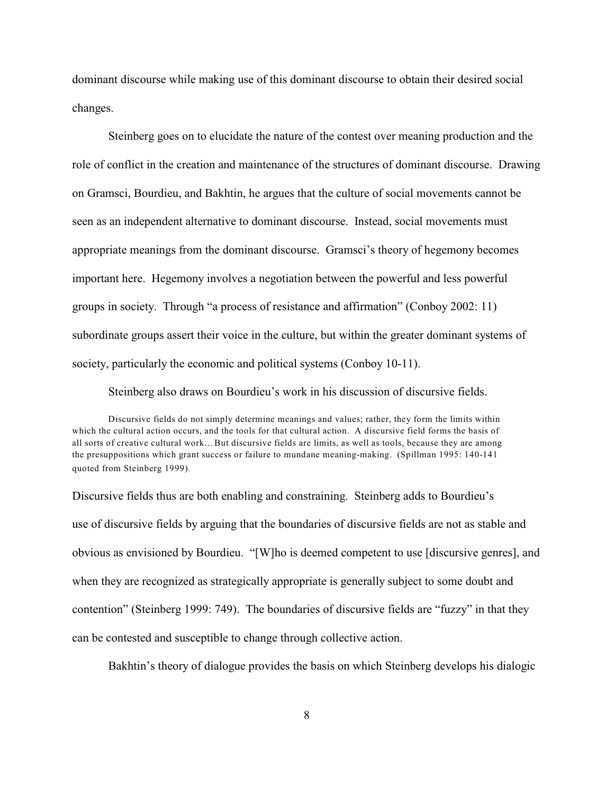dominant discourse while making use of this dominant discourse to obtain their desired social changes.

Steinberg goes on to elucidate the nature of the contest over meaning production and the role of conflict in the creation and maintenance of the structures of dominant discourse. Drawing on Gramsci, Bourdieu, and Bakhtin, he argues that the culture of social movements cannot be seen as an independent alternative to dominant discourse. Instead, social movements must appropriate meanings from the dominant discourse. Gramsci's theory of hegemony becomes important here. Hegemony involves a negotiation between the powerful and less powerful groups in society. Through "a process of resistance and affirmation" (Conboy 2002: 11) subordinate groups assert their voice in the culture, but within the greater dominant systems of society, particularly the economic and political systems (Conboy 10-11).

Steinberg also draws on Bourdieu's work in his discussion of discursive fields.

Discursive fields do not simply determine meanings and values; rather, they form the limits within which the cultural action occurs, and the tools for that cultural action. A discursive field forms the basis of all sorts of creative cultural work…But discursive fields are limits, as well as tools, because they are among the presuppositions which grant success or failure to mundane meaning-making. (Spillman 1995: 140-141 quoted from Steinberg 1999).

Discursive fields thus are both enabling and constraining. Steinberg adds to Bourdieu's use of discursive fields by arguing that the boundaries of discursive fields are not as stable and obvious as envisioned by Bourdieu. "[W]ho is deemed competent to use [discursive genres], and when they are recognized as strategically appropriate is generally subject to some doubt and contention" (Steinberg 1999: 749). The boundaries of discursive fields are "fuzzy" in that they can be contested and susceptible to change through collective action.

Bakhtin's theory of dialogue provides the basis on which Steinberg develops his dialogic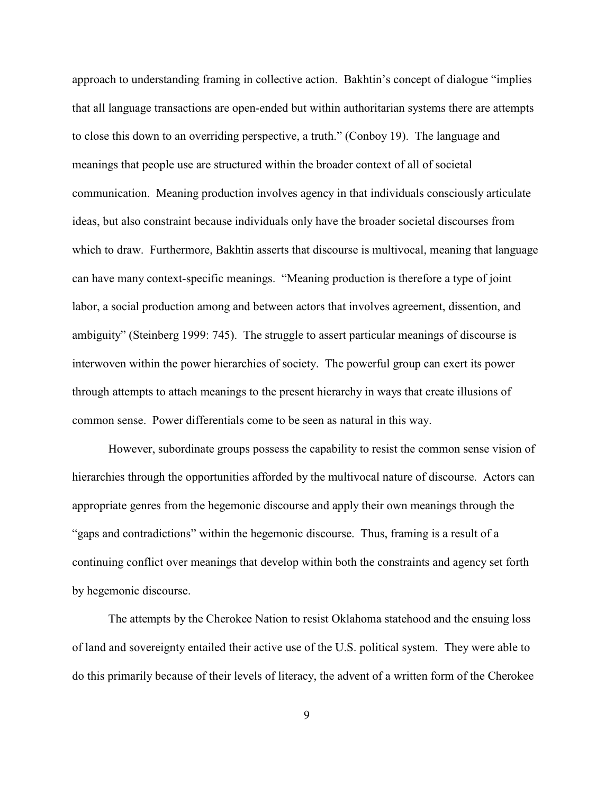approach to understanding framing in collective action. Bakhtin's concept of dialogue "implies that all language transactions are open-ended but within authoritarian systems there are attempts to close this down to an overriding perspective, a truth." (Conboy 19). The language and meanings that people use are structured within the broader context of all of societal communication. Meaning production involves agency in that individuals consciously articulate ideas, but also constraint because individuals only have the broader societal discourses from which to draw. Furthermore, Bakhtin asserts that discourse is multivocal, meaning that language can have many context-specific meanings. "Meaning production is therefore a type of joint labor, a social production among and between actors that involves agreement, dissention, and ambiguity" (Steinberg 1999: 745). The struggle to assert particular meanings of discourse is interwoven within the power hierarchies of society. The powerful group can exert its power through attempts to attach meanings to the present hierarchy in ways that create illusions of common sense. Power differentials come to be seen as natural in this way.

However, subordinate groups possess the capability to resist the common sense vision of hierarchies through the opportunities afforded by the multivocal nature of discourse. Actors can appropriate genres from the hegemonic discourse and apply their own meanings through the "gaps and contradictions" within the hegemonic discourse. Thus, framing is a result of a continuing conflict over meanings that develop within both the constraints and agency set forth by hegemonic discourse.

The attempts by the Cherokee Nation to resist Oklahoma statehood and the ensuing loss of land and sovereignty entailed their active use of the U.S. political system. They were able to do this primarily because of their levels of literacy, the advent of a written form of the Cherokee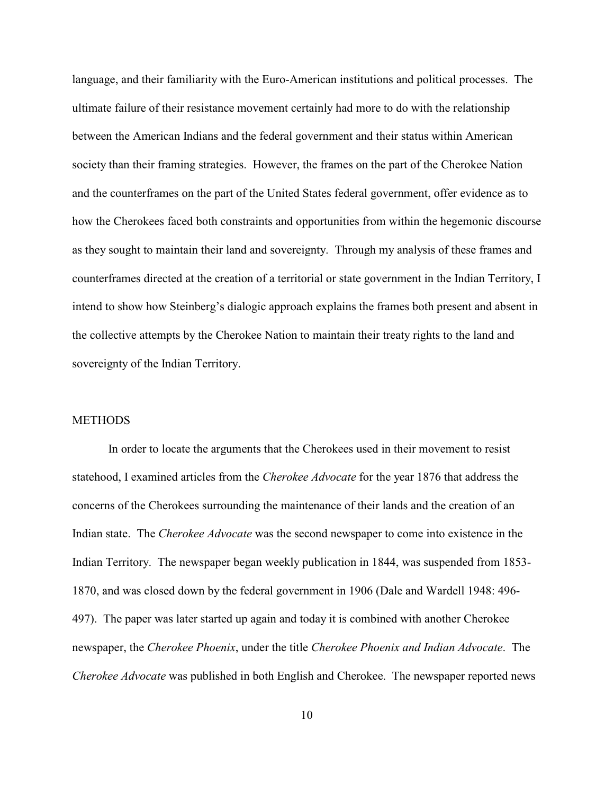language, and their familiarity with the Euro-American institutions and political processes. The ultimate failure of their resistance movement certainly had more to do with the relationship between the American Indians and the federal government and their status within American society than their framing strategies. However, the frames on the part of the Cherokee Nation and the counterframes on the part of the United States federal government, offer evidence as to how the Cherokees faced both constraints and opportunities from within the hegemonic discourse as they sought to maintain their land and sovereignty. Through my analysis of these frames and counterframes directed at the creation of a territorial or state government in the Indian Territory, I intend to show how Steinberg's dialogic approach explains the frames both present and absent in the collective attempts by the Cherokee Nation to maintain their treaty rights to the land and sovereignty of the Indian Territory.

# **METHODS**

In order to locate the arguments that the Cherokees used in their movement to resist statehood, I examined articles from the *Cherokee Advocate* for the year 1876 that address the concerns of the Cherokees surrounding the maintenance of their lands and the creation of an Indian state. The *Cherokee Advocate* was the second newspaper to come into existence in the Indian Territory. The newspaper began weekly publication in 1844, was suspended from 1853- 1870, and was closed down by the federal government in 1906 (Dale and Wardell 1948: 496- 497). The paper was later started up again and today it is combined with another Cherokee newspaper, the *Cherokee Phoenix*, under the title *Cherokee Phoenix and Indian Advocate*. The *Cherokee Advocate* was published in both English and Cherokee. The newspaper reported news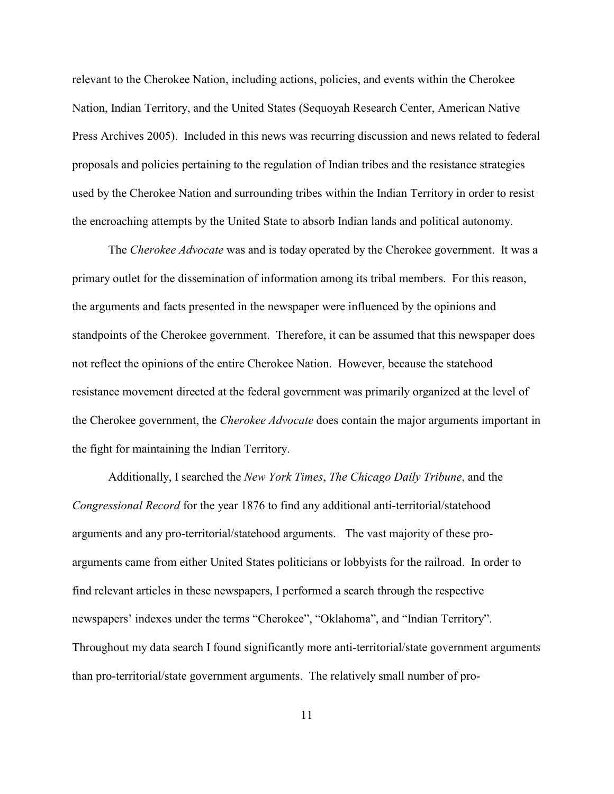relevant to the Cherokee Nation, including actions, policies, and events within the Cherokee Nation, Indian Territory, and the United States (Sequoyah Research Center, American Native Press Archives 2005). Included in this news was recurring discussion and news related to federal proposals and policies pertaining to the regulation of Indian tribes and the resistance strategies used by the Cherokee Nation and surrounding tribes within the Indian Territory in order to resist the encroaching attempts by the United State to absorb Indian lands and political autonomy.

The *Cherokee Advocate* was and is today operated by the Cherokee government. It was a primary outlet for the dissemination of information among its tribal members. For this reason, the arguments and facts presented in the newspaper were influenced by the opinions and standpoints of the Cherokee government. Therefore, it can be assumed that this newspaper does not reflect the opinions of the entire Cherokee Nation. However, because the statehood resistance movement directed at the federal government was primarily organized at the level of the Cherokee government, the *Cherokee Advocate* does contain the major arguments important in the fight for maintaining the Indian Territory.

Additionally, I searched the *New York Times*, *The Chicago Daily Tribune*, and the *Congressional Record* for the year 1876 to find any additional anti-territorial/statehood arguments and any pro-territorial/statehood arguments. The vast majority of these proarguments came from either United States politicians or lobbyists for the railroad. In order to find relevant articles in these newspapers, I performed a search through the respective newspapers' indexes under the terms "Cherokee", "Oklahoma", and "Indian Territory". Throughout my data search I found significantly more anti-territorial/state government arguments than pro-territorial/state government arguments. The relatively small number of pro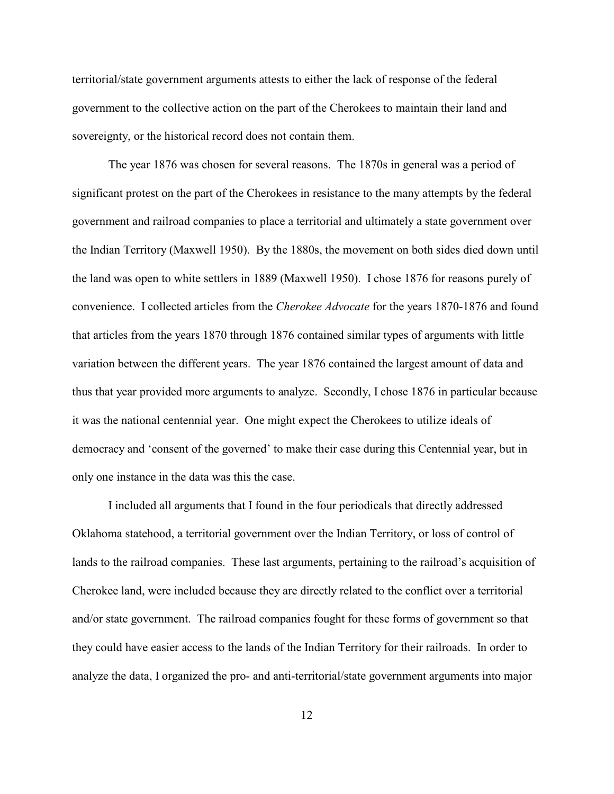territorial/state government arguments attests to either the lack of response of the federal government to the collective action on the part of the Cherokees to maintain their land and sovereignty, or the historical record does not contain them.

The year 1876 was chosen for several reasons. The 1870s in general was a period of significant protest on the part of the Cherokees in resistance to the many attempts by the federal government and railroad companies to place a territorial and ultimately a state government over the Indian Territory (Maxwell 1950). By the 1880s, the movement on both sides died down until the land was open to white settlers in 1889 (Maxwell 1950). I chose 1876 for reasons purely of convenience. I collected articles from the *Cherokee Advocate* for the years 1870-1876 and found that articles from the years 1870 through 1876 contained similar types of arguments with little variation between the different years. The year 1876 contained the largest amount of data and thus that year provided more arguments to analyze. Secondly, I chose 1876 in particular because it was the national centennial year. One might expect the Cherokees to utilize ideals of democracy and 'consent of the governed' to make their case during this Centennial year, but in only one instance in the data was this the case.

I included all arguments that I found in the four periodicals that directly addressed Oklahoma statehood, a territorial government over the Indian Territory, or loss of control of lands to the railroad companies. These last arguments, pertaining to the railroad's acquisition of Cherokee land, were included because they are directly related to the conflict over a territorial and/or state government. The railroad companies fought for these forms of government so that they could have easier access to the lands of the Indian Territory for their railroads. In order to analyze the data, I organized the pro- and anti-territorial/state government arguments into major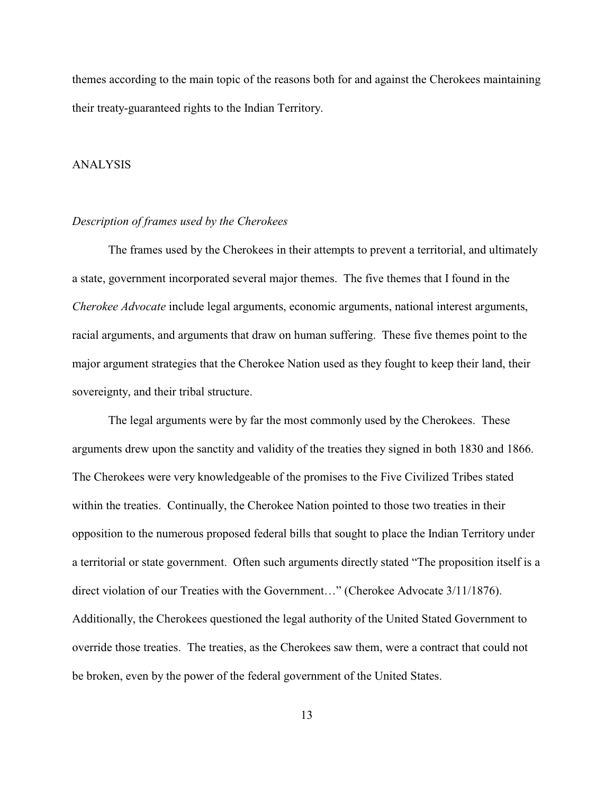themes according to the main topic of the reasons both for and against the Cherokees maintaining their treaty-guaranteed rights to the Indian Territory.

#### ANALYSIS

#### *Description of frames used by the Cherokees*

The frames used by the Cherokees in their attempts to prevent a territorial, and ultimately a state, government incorporated several major themes. The five themes that I found in the *Cherokee Advocate* include legal arguments, economic arguments, national interest arguments, racial arguments, and arguments that draw on human suffering. These five themes point to the major argument strategies that the Cherokee Nation used as they fought to keep their land, their sovereignty, and their tribal structure.

The legal arguments were by far the most commonly used by the Cherokees. These arguments drew upon the sanctity and validity of the treaties they signed in both 1830 and 1866. The Cherokees were very knowledgeable of the promises to the Five Civilized Tribes stated within the treaties. Continually, the Cherokee Nation pointed to those two treaties in their opposition to the numerous proposed federal bills that sought to place the Indian Territory under a territorial or state government. Often such arguments directly stated "The proposition itself is a direct violation of our Treaties with the Government…" (Cherokee Advocate 3/11/1876). Additionally, the Cherokees questioned the legal authority of the United Stated Government to override those treaties. The treaties, as the Cherokees saw them, were a contract that could not be broken, even by the power of the federal government of the United States.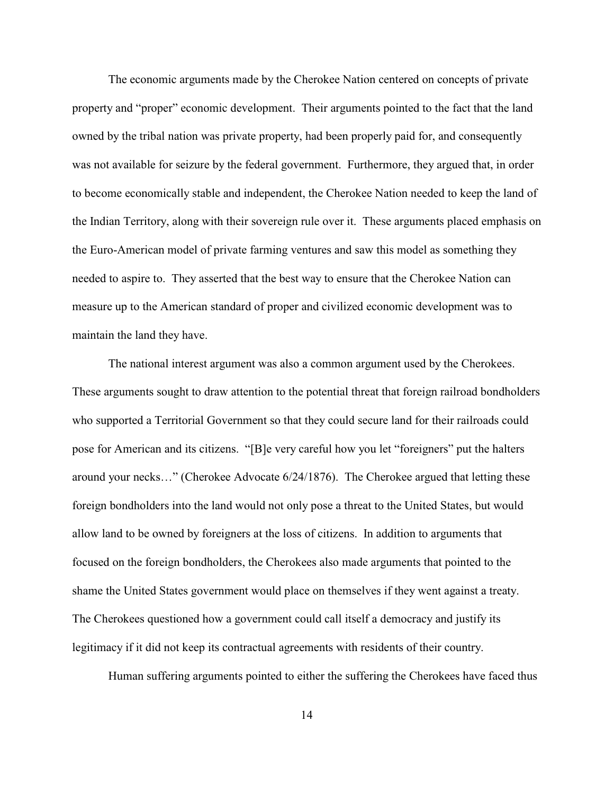The economic arguments made by the Cherokee Nation centered on concepts of private property and "proper" economic development. Their arguments pointed to the fact that the land owned by the tribal nation was private property, had been properly paid for, and consequently was not available for seizure by the federal government. Furthermore, they argued that, in order to become economically stable and independent, the Cherokee Nation needed to keep the land of the Indian Territory, along with their sovereign rule over it. These arguments placed emphasis on the Euro-American model of private farming ventures and saw this model as something they needed to aspire to. They asserted that the best way to ensure that the Cherokee Nation can measure up to the American standard of proper and civilized economic development was to maintain the land they have.

The national interest argument was also a common argument used by the Cherokees. These arguments sought to draw attention to the potential threat that foreign railroad bondholders who supported a Territorial Government so that they could secure land for their railroads could pose for American and its citizens. "[B]e very careful how you let "foreigners" put the halters around your necks…" (Cherokee Advocate 6/24/1876). The Cherokee argued that letting these foreign bondholders into the land would not only pose a threat to the United States, but would allow land to be owned by foreigners at the loss of citizens. In addition to arguments that focused on the foreign bondholders, the Cherokees also made arguments that pointed to the shame the United States government would place on themselves if they went against a treaty. The Cherokees questioned how a government could call itself a democracy and justify its legitimacy if it did not keep its contractual agreements with residents of their country.

Human suffering arguments pointed to either the suffering the Cherokees have faced thus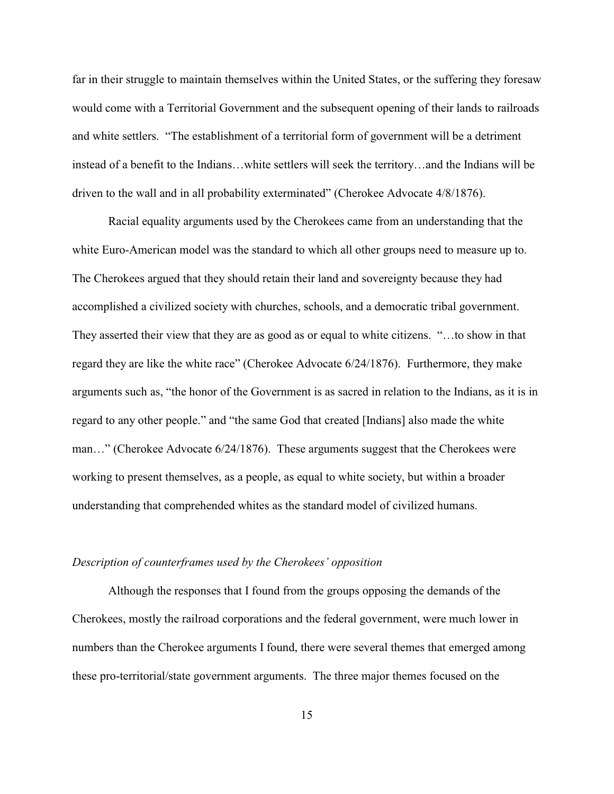far in their struggle to maintain themselves within the United States, or the suffering they foresaw would come with a Territorial Government and the subsequent opening of their lands to railroads and white settlers. "The establishment of a territorial form of government will be a detriment instead of a benefit to the Indians…white settlers will seek the territory…and the Indians will be driven to the wall and in all probability exterminated" (Cherokee Advocate 4/8/1876).

Racial equality arguments used by the Cherokees came from an understanding that the white Euro-American model was the standard to which all other groups need to measure up to. The Cherokees argued that they should retain their land and sovereignty because they had accomplished a civilized society with churches, schools, and a democratic tribal government. They asserted their view that they are as good as or equal to white citizens. "…to show in that regard they are like the white race" (Cherokee Advocate 6/24/1876). Furthermore, they make arguments such as, "the honor of the Government is as sacred in relation to the Indians, as it is in regard to any other people." and "the same God that created [Indians] also made the white man…" (Cherokee Advocate 6/24/1876). These arguments suggest that the Cherokees were working to present themselves, as a people, as equal to white society, but within a broader understanding that comprehended whites as the standard model of civilized humans.

#### *Description of counterframes used by the Cherokees' opposition*

Although the responses that I found from the groups opposing the demands of the Cherokees, mostly the railroad corporations and the federal government, were much lower in numbers than the Cherokee arguments I found, there were several themes that emerged among these pro-territorial/state government arguments. The three major themes focused on the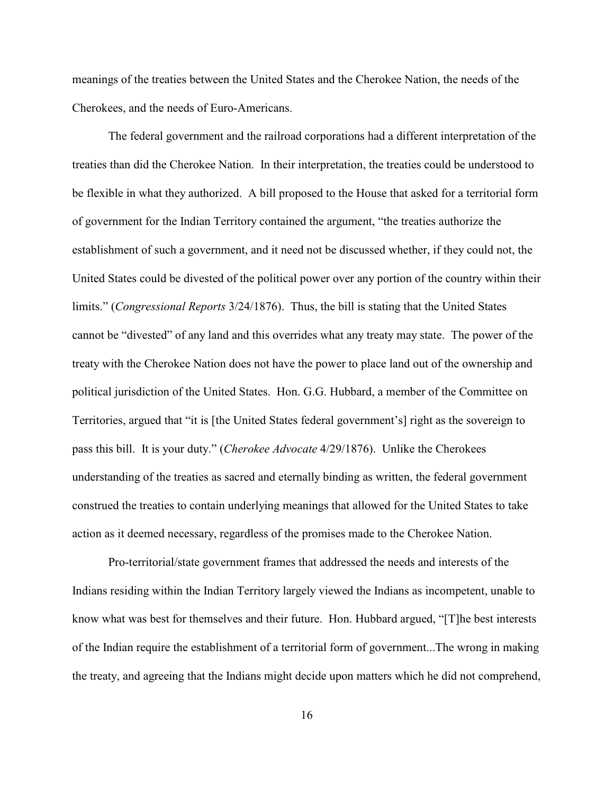meanings of the treaties between the United States and the Cherokee Nation, the needs of the Cherokees, and the needs of Euro-Americans.

The federal government and the railroad corporations had a different interpretation of the treaties than did the Cherokee Nation. In their interpretation, the treaties could be understood to be flexible in what they authorized. A bill proposed to the House that asked for a territorial form of government for the Indian Territory contained the argument, "the treaties authorize the establishment of such a government, and it need not be discussed whether, if they could not, the United States could be divested of the political power over any portion of the country within their limits." (*Congressional Reports* 3/24/1876). Thus, the bill is stating that the United States cannot be "divested" of any land and this overrides what any treaty may state. The power of the treaty with the Cherokee Nation does not have the power to place land out of the ownership and political jurisdiction of the United States. Hon. G.G. Hubbard, a member of the Committee on Territories, argued that "it is [the United States federal government's] right as the sovereign to pass this bill. It is your duty." (*Cherokee Advocate* 4/29/1876). Unlike the Cherokees understanding of the treaties as sacred and eternally binding as written, the federal government construed the treaties to contain underlying meanings that allowed for the United States to take action as it deemed necessary, regardless of the promises made to the Cherokee Nation.

Pro-territorial/state government frames that addressed the needs and interests of the Indians residing within the Indian Territory largely viewed the Indians as incompetent, unable to know what was best for themselves and their future. Hon. Hubbard argued, "[T]he best interests of the Indian require the establishment of a territorial form of government...The wrong in making the treaty, and agreeing that the Indians might decide upon matters which he did not comprehend,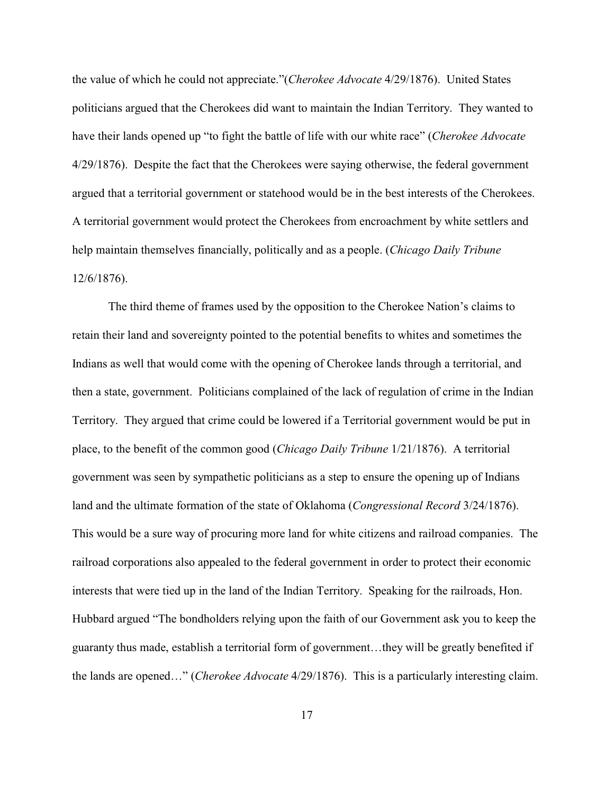the value of which he could not appreciate."(*Cherokee Advocate* 4/29/1876). United States politicians argued that the Cherokees did want to maintain the Indian Territory. They wanted to have their lands opened up "to fight the battle of life with our white race" (*Cherokee Advocate* 4/29/1876). Despite the fact that the Cherokees were saying otherwise, the federal government argued that a territorial government or statehood would be in the best interests of the Cherokees. A territorial government would protect the Cherokees from encroachment by white settlers and help maintain themselves financially, politically and as a people. (*Chicago Daily Tribune* 12/6/1876).

The third theme of frames used by the opposition to the Cherokee Nation's claims to retain their land and sovereignty pointed to the potential benefits to whites and sometimes the Indians as well that would come with the opening of Cherokee lands through a territorial, and then a state, government. Politicians complained of the lack of regulation of crime in the Indian Territory. They argued that crime could be lowered if a Territorial government would be put in place, to the benefit of the common good (*Chicago Daily Tribune* 1/21/1876). A territorial government was seen by sympathetic politicians as a step to ensure the opening up of Indians land and the ultimate formation of the state of Oklahoma (*Congressional Record* 3/24/1876). This would be a sure way of procuring more land for white citizens and railroad companies. The railroad corporations also appealed to the federal government in order to protect their economic interests that were tied up in the land of the Indian Territory. Speaking for the railroads, Hon. Hubbard argued "The bondholders relying upon the faith of our Government ask you to keep the guaranty thus made, establish a territorial form of government…they will be greatly benefited if the lands are opened…" (*Cherokee Advocate* 4/29/1876). This is a particularly interesting claim.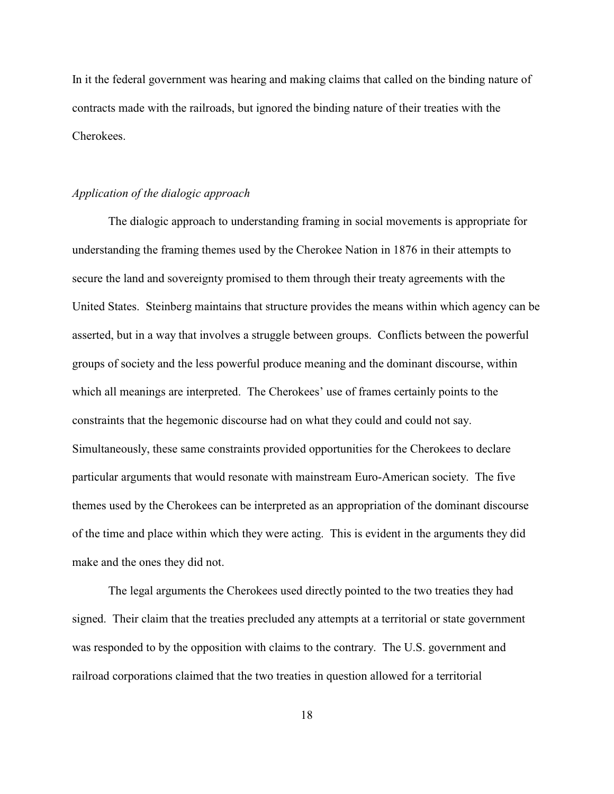In it the federal government was hearing and making claims that called on the binding nature of contracts made with the railroads, but ignored the binding nature of their treaties with the Cherokees.

# *Application of the dialogic approach*

The dialogic approach to understanding framing in social movements is appropriate for understanding the framing themes used by the Cherokee Nation in 1876 in their attempts to secure the land and sovereignty promised to them through their treaty agreements with the United States. Steinberg maintains that structure provides the means within which agency can be asserted, but in a way that involves a struggle between groups. Conflicts between the powerful groups of society and the less powerful produce meaning and the dominant discourse, within which all meanings are interpreted. The Cherokees' use of frames certainly points to the constraints that the hegemonic discourse had on what they could and could not say. Simultaneously, these same constraints provided opportunities for the Cherokees to declare particular arguments that would resonate with mainstream Euro-American society. The five themes used by the Cherokees can be interpreted as an appropriation of the dominant discourse of the time and place within which they were acting. This is evident in the arguments they did make and the ones they did not.

The legal arguments the Cherokees used directly pointed to the two treaties they had signed. Their claim that the treaties precluded any attempts at a territorial or state government was responded to by the opposition with claims to the contrary. The U.S. government and railroad corporations claimed that the two treaties in question allowed for a territorial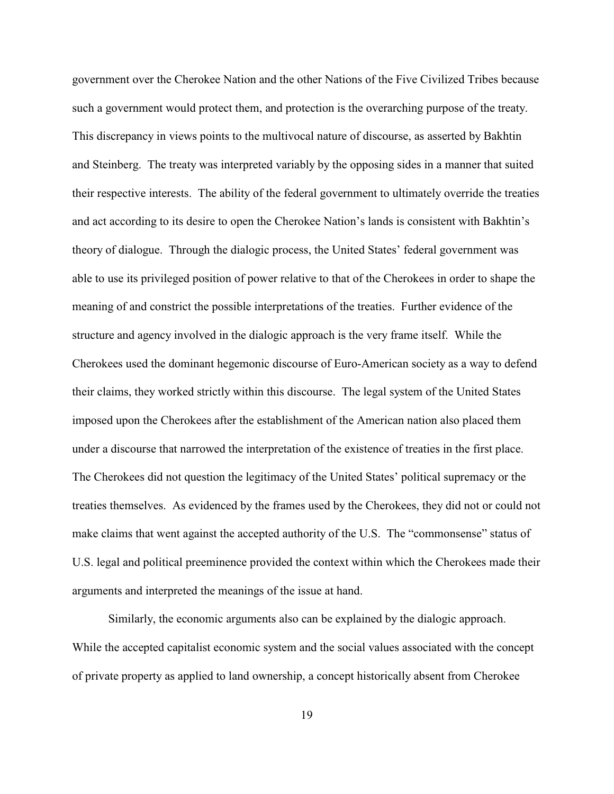government over the Cherokee Nation and the other Nations of the Five Civilized Tribes because such a government would protect them, and protection is the overarching purpose of the treaty. This discrepancy in views points to the multivocal nature of discourse, as asserted by Bakhtin and Steinberg. The treaty was interpreted variably by the opposing sides in a manner that suited their respective interests. The ability of the federal government to ultimately override the treaties and act according to its desire to open the Cherokee Nation's lands is consistent with Bakhtin's theory of dialogue. Through the dialogic process, the United States' federal government was able to use its privileged position of power relative to that of the Cherokees in order to shape the meaning of and constrict the possible interpretations of the treaties. Further evidence of the structure and agency involved in the dialogic approach is the very frame itself. While the Cherokees used the dominant hegemonic discourse of Euro-American society as a way to defend their claims, they worked strictly within this discourse. The legal system of the United States imposed upon the Cherokees after the establishment of the American nation also placed them under a discourse that narrowed the interpretation of the existence of treaties in the first place. The Cherokees did not question the legitimacy of the United States' political supremacy or the treaties themselves. As evidenced by the frames used by the Cherokees, they did not or could not make claims that went against the accepted authority of the U.S. The "commonsense" status of U.S. legal and political preeminence provided the context within which the Cherokees made their arguments and interpreted the meanings of the issue at hand.

Similarly, the economic arguments also can be explained by the dialogic approach. While the accepted capitalist economic system and the social values associated with the concept of private property as applied to land ownership, a concept historically absent from Cherokee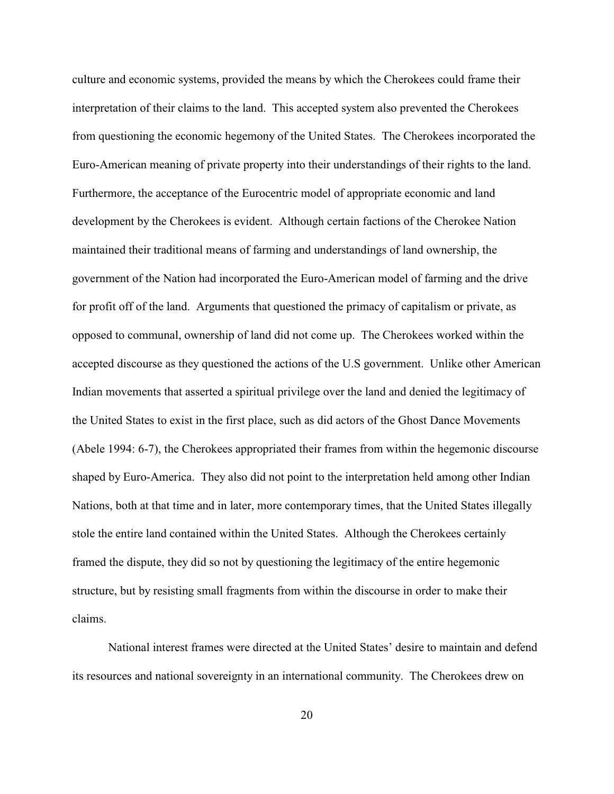culture and economic systems, provided the means by which the Cherokees could frame their interpretation of their claims to the land. This accepted system also prevented the Cherokees from questioning the economic hegemony of the United States. The Cherokees incorporated the Euro-American meaning of private property into their understandings of their rights to the land. Furthermore, the acceptance of the Eurocentric model of appropriate economic and land development by the Cherokees is evident. Although certain factions of the Cherokee Nation maintained their traditional means of farming and understandings of land ownership, the government of the Nation had incorporated the Euro-American model of farming and the drive for profit off of the land. Arguments that questioned the primacy of capitalism or private, as opposed to communal, ownership of land did not come up. The Cherokees worked within the accepted discourse as they questioned the actions of the U.S government. Unlike other American Indian movements that asserted a spiritual privilege over the land and denied the legitimacy of the United States to exist in the first place, such as did actors of the Ghost Dance Movements (Abele 1994: 6-7), the Cherokees appropriated their frames from within the hegemonic discourse shaped by Euro-America. They also did not point to the interpretation held among other Indian Nations, both at that time and in later, more contemporary times, that the United States illegally stole the entire land contained within the United States. Although the Cherokees certainly framed the dispute, they did so not by questioning the legitimacy of the entire hegemonic structure, but by resisting small fragments from within the discourse in order to make their claims.

National interest frames were directed at the United States' desire to maintain and defend its resources and national sovereignty in an international community. The Cherokees drew on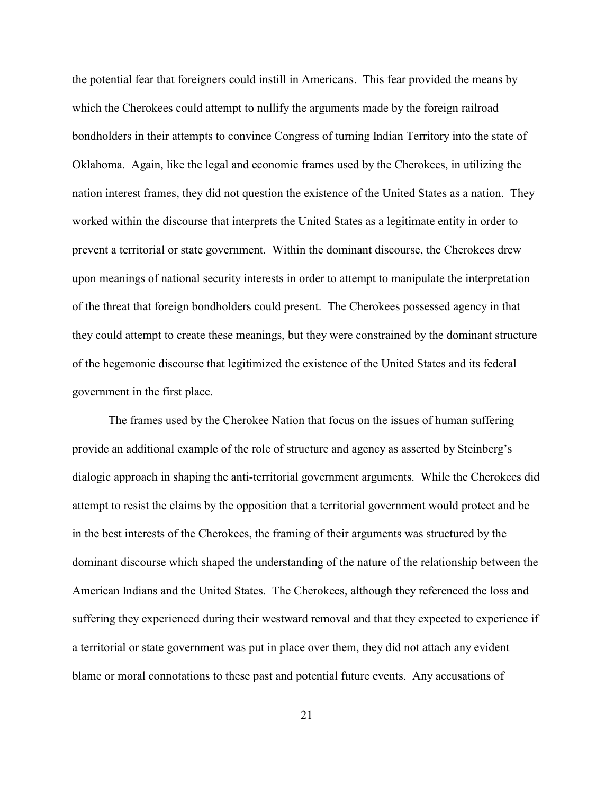the potential fear that foreigners could instill in Americans. This fear provided the means by which the Cherokees could attempt to nullify the arguments made by the foreign railroad bondholders in their attempts to convince Congress of turning Indian Territory into the state of Oklahoma. Again, like the legal and economic frames used by the Cherokees, in utilizing the nation interest frames, they did not question the existence of the United States as a nation. They worked within the discourse that interprets the United States as a legitimate entity in order to prevent a territorial or state government. Within the dominant discourse, the Cherokees drew upon meanings of national security interests in order to attempt to manipulate the interpretation of the threat that foreign bondholders could present. The Cherokees possessed agency in that they could attempt to create these meanings, but they were constrained by the dominant structure of the hegemonic discourse that legitimized the existence of the United States and its federal government in the first place.

The frames used by the Cherokee Nation that focus on the issues of human suffering provide an additional example of the role of structure and agency as asserted by Steinberg's dialogic approach in shaping the anti-territorial government arguments. While the Cherokees did attempt to resist the claims by the opposition that a territorial government would protect and be in the best interests of the Cherokees, the framing of their arguments was structured by the dominant discourse which shaped the understanding of the nature of the relationship between the American Indians and the United States. The Cherokees, although they referenced the loss and suffering they experienced during their westward removal and that they expected to experience if a territorial or state government was put in place over them, they did not attach any evident blame or moral connotations to these past and potential future events. Any accusations of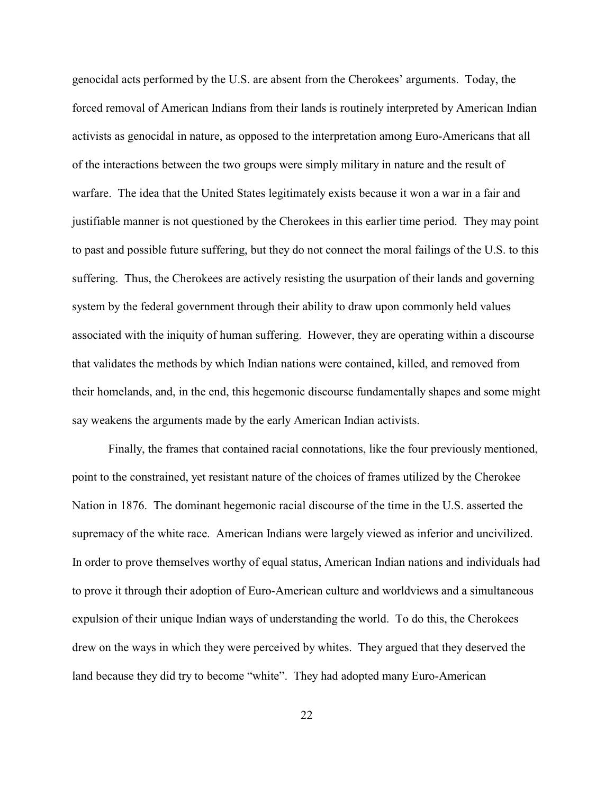genocidal acts performed by the U.S. are absent from the Cherokees' arguments. Today, the forced removal of American Indians from their lands is routinely interpreted by American Indian activists as genocidal in nature, as opposed to the interpretation among Euro-Americans that all of the interactions between the two groups were simply military in nature and the result of warfare. The idea that the United States legitimately exists because it won a war in a fair and justifiable manner is not questioned by the Cherokees in this earlier time period. They may point to past and possible future suffering, but they do not connect the moral failings of the U.S. to this suffering. Thus, the Cherokees are actively resisting the usurpation of their lands and governing system by the federal government through their ability to draw upon commonly held values associated with the iniquity of human suffering. However, they are operating within a discourse that validates the methods by which Indian nations were contained, killed, and removed from their homelands, and, in the end, this hegemonic discourse fundamentally shapes and some might say weakens the arguments made by the early American Indian activists.

Finally, the frames that contained racial connotations, like the four previously mentioned, point to the constrained, yet resistant nature of the choices of frames utilized by the Cherokee Nation in 1876. The dominant hegemonic racial discourse of the time in the U.S. asserted the supremacy of the white race. American Indians were largely viewed as inferior and uncivilized. In order to prove themselves worthy of equal status, American Indian nations and individuals had to prove it through their adoption of Euro-American culture and worldviews and a simultaneous expulsion of their unique Indian ways of understanding the world. To do this, the Cherokees drew on the ways in which they were perceived by whites. They argued that they deserved the land because they did try to become "white". They had adopted many Euro-American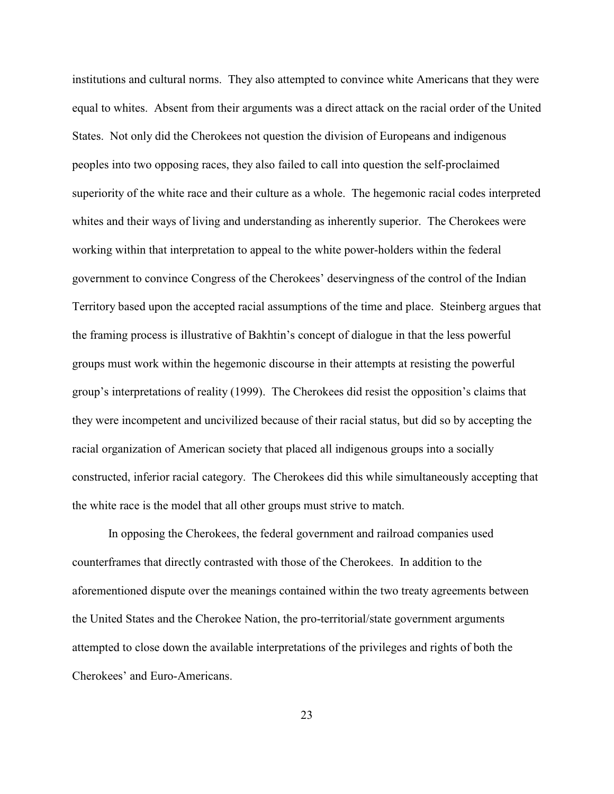institutions and cultural norms. They also attempted to convince white Americans that they were equal to whites. Absent from their arguments was a direct attack on the racial order of the United States. Not only did the Cherokees not question the division of Europeans and indigenous peoples into two opposing races, they also failed to call into question the self-proclaimed superiority of the white race and their culture as a whole. The hegemonic racial codes interpreted whites and their ways of living and understanding as inherently superior. The Cherokees were working within that interpretation to appeal to the white power-holders within the federal government to convince Congress of the Cherokees' deservingness of the control of the Indian Territory based upon the accepted racial assumptions of the time and place. Steinberg argues that the framing process is illustrative of Bakhtin's concept of dialogue in that the less powerful groups must work within the hegemonic discourse in their attempts at resisting the powerful group's interpretations of reality (1999). The Cherokees did resist the opposition's claims that they were incompetent and uncivilized because of their racial status, but did so by accepting the racial organization of American society that placed all indigenous groups into a socially constructed, inferior racial category. The Cherokees did this while simultaneously accepting that the white race is the model that all other groups must strive to match.

In opposing the Cherokees, the federal government and railroad companies used counterframes that directly contrasted with those of the Cherokees. In addition to the aforementioned dispute over the meanings contained within the two treaty agreements between the United States and the Cherokee Nation, the pro-territorial/state government arguments attempted to close down the available interpretations of the privileges and rights of both the Cherokees' and Euro-Americans.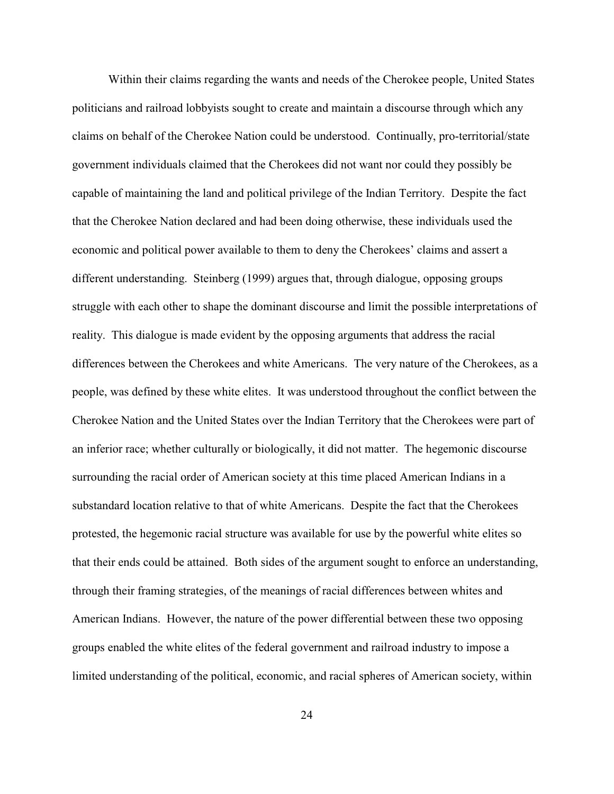Within their claims regarding the wants and needs of the Cherokee people, United States politicians and railroad lobbyists sought to create and maintain a discourse through which any claims on behalf of the Cherokee Nation could be understood. Continually, pro-territorial/state government individuals claimed that the Cherokees did not want nor could they possibly be capable of maintaining the land and political privilege of the Indian Territory. Despite the fact that the Cherokee Nation declared and had been doing otherwise, these individuals used the economic and political power available to them to deny the Cherokees' claims and assert a different understanding. Steinberg (1999) argues that, through dialogue, opposing groups struggle with each other to shape the dominant discourse and limit the possible interpretations of reality. This dialogue is made evident by the opposing arguments that address the racial differences between the Cherokees and white Americans. The very nature of the Cherokees, as a people, was defined by these white elites. It was understood throughout the conflict between the Cherokee Nation and the United States over the Indian Territory that the Cherokees were part of an inferior race; whether culturally or biologically, it did not matter. The hegemonic discourse surrounding the racial order of American society at this time placed American Indians in a substandard location relative to that of white Americans. Despite the fact that the Cherokees protested, the hegemonic racial structure was available for use by the powerful white elites so that their ends could be attained. Both sides of the argument sought to enforce an understanding, through their framing strategies, of the meanings of racial differences between whites and American Indians. However, the nature of the power differential between these two opposing groups enabled the white elites of the federal government and railroad industry to impose a limited understanding of the political, economic, and racial spheres of American society, within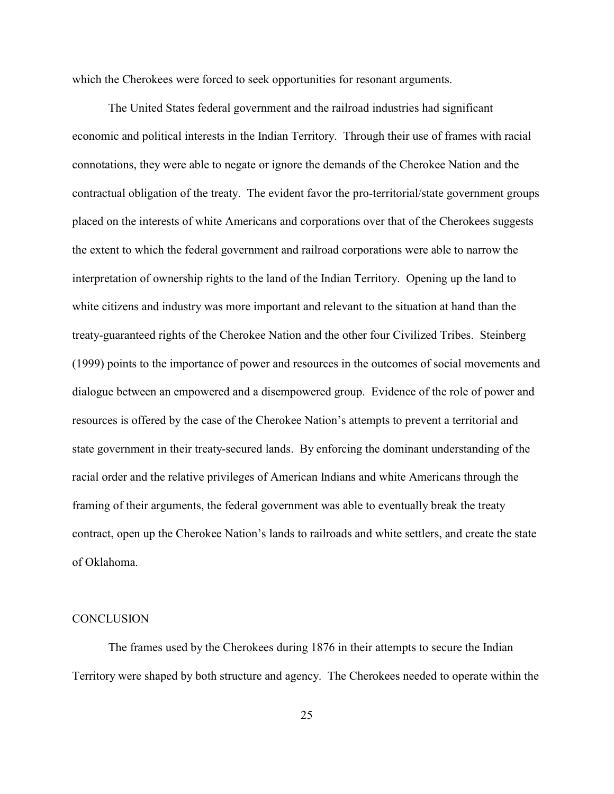which the Cherokees were forced to seek opportunities for resonant arguments.

The United States federal government and the railroad industries had significant economic and political interests in the Indian Territory. Through their use of frames with racial connotations, they were able to negate or ignore the demands of the Cherokee Nation and the contractual obligation of the treaty. The evident favor the pro-territorial/state government groups placed on the interests of white Americans and corporations over that of the Cherokees suggests the extent to which the federal government and railroad corporations were able to narrow the interpretation of ownership rights to the land of the Indian Territory. Opening up the land to white citizens and industry was more important and relevant to the situation at hand than the treaty-guaranteed rights of the Cherokee Nation and the other four Civilized Tribes. Steinberg (1999) points to the importance of power and resources in the outcomes of social movements and dialogue between an empowered and a disempowered group. Evidence of the role of power and resources is offered by the case of the Cherokee Nation's attempts to prevent a territorial and state government in their treaty-secured lands. By enforcing the dominant understanding of the racial order and the relative privileges of American Indians and white Americans through the framing of their arguments, the federal government was able to eventually break the treaty contract, open up the Cherokee Nation's lands to railroads and white settlers, and create the state of Oklahoma.

# **CONCLUSION**

The frames used by the Cherokees during 1876 in their attempts to secure the Indian Territory were shaped by both structure and agency. The Cherokees needed to operate within the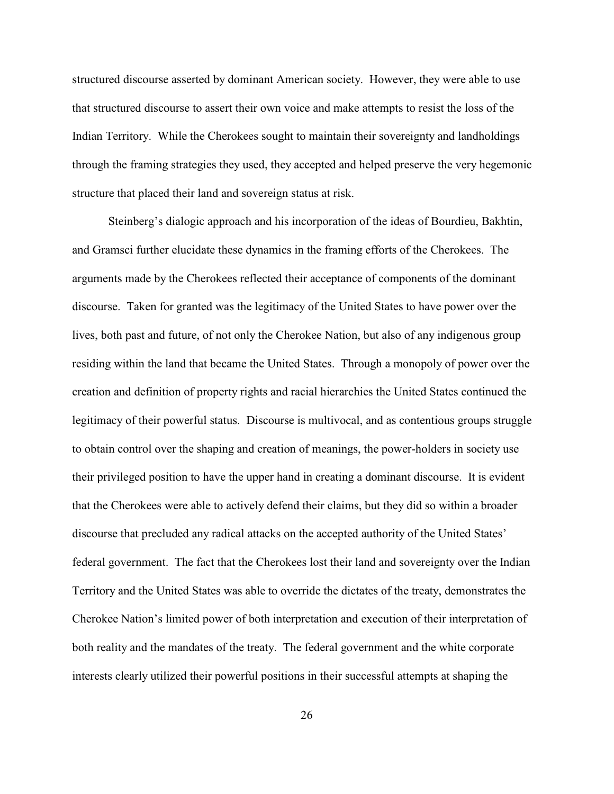structured discourse asserted by dominant American society. However, they were able to use that structured discourse to assert their own voice and make attempts to resist the loss of the Indian Territory. While the Cherokees sought to maintain their sovereignty and landholdings through the framing strategies they used, they accepted and helped preserve the very hegemonic structure that placed their land and sovereign status at risk.

Steinberg's dialogic approach and his incorporation of the ideas of Bourdieu, Bakhtin, and Gramsci further elucidate these dynamics in the framing efforts of the Cherokees. The arguments made by the Cherokees reflected their acceptance of components of the dominant discourse. Taken for granted was the legitimacy of the United States to have power over the lives, both past and future, of not only the Cherokee Nation, but also of any indigenous group residing within the land that became the United States. Through a monopoly of power over the creation and definition of property rights and racial hierarchies the United States continued the legitimacy of their powerful status. Discourse is multivocal, and as contentious groups struggle to obtain control over the shaping and creation of meanings, the power-holders in society use their privileged position to have the upper hand in creating a dominant discourse. It is evident that the Cherokees were able to actively defend their claims, but they did so within a broader discourse that precluded any radical attacks on the accepted authority of the United States' federal government. The fact that the Cherokees lost their land and sovereignty over the Indian Territory and the United States was able to override the dictates of the treaty, demonstrates the Cherokee Nation's limited power of both interpretation and execution of their interpretation of both reality and the mandates of the treaty. The federal government and the white corporate interests clearly utilized their powerful positions in their successful attempts at shaping the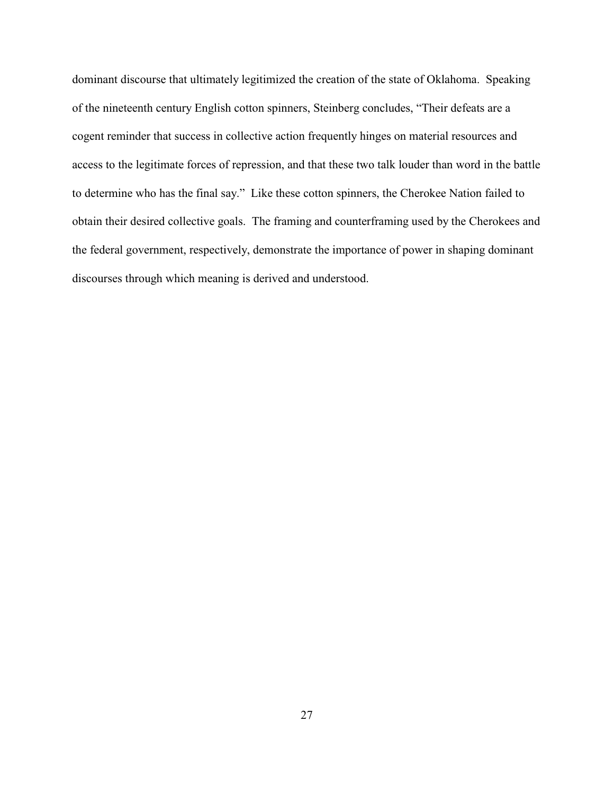dominant discourse that ultimately legitimized the creation of the state of Oklahoma. Speaking of the nineteenth century English cotton spinners, Steinberg concludes, "Their defeats are a cogent reminder that success in collective action frequently hinges on material resources and access to the legitimate forces of repression, and that these two talk louder than word in the battle to determine who has the final say." Like these cotton spinners, the Cherokee Nation failed to obtain their desired collective goals. The framing and counterframing used by the Cherokees and the federal government, respectively, demonstrate the importance of power in shaping dominant discourses through which meaning is derived and understood.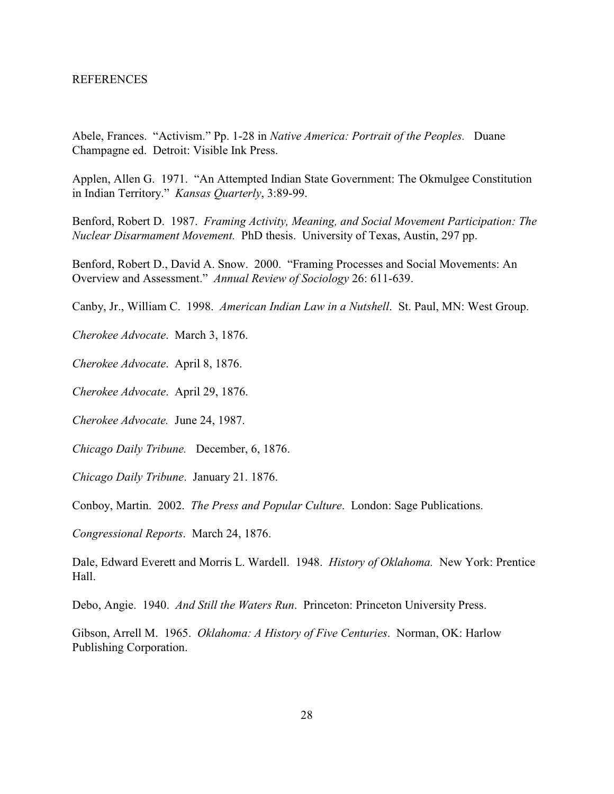Abele, Frances. "Activism." Pp. 1-28 in *Native America: Portrait of the Peoples.* Duane Champagne ed. Detroit: Visible Ink Press.

Applen, Allen G. 1971. "An Attempted Indian State Government: The Okmulgee Constitution in Indian Territory." *Kansas Quarterly*, 3:89-99.

Benford, Robert D. 1987. *Framing Activity, Meaning, and Social Movement Participation: The Nuclear Disarmament Movement.* PhD thesis. University of Texas, Austin, 297 pp.

Benford, Robert D., David A. Snow. 2000. "Framing Processes and Social Movements: An Overview and Assessment." *Annual Review of Sociology* 26: 611-639.

Canby, Jr., William C. 1998. *American Indian Law in a Nutshell*. St. Paul, MN: West Group.

*Cherokee Advocate*. March 3, 1876.

*Cherokee Advocate*. April 8, 1876.

*Cherokee Advocate*. April 29, 1876.

*Cherokee Advocate.* June 24, 1987.

*Chicago Daily Tribune.* December, 6, 1876.

*Chicago Daily Tribune*. January 21. 1876.

Conboy, Martin. 2002. *The Press and Popular Culture*. London: Sage Publications.

*Congressional Reports*. March 24, 1876.

Dale, Edward Everett and Morris L. Wardell. 1948. *History of Oklahoma.* New York: Prentice Hall.

Debo, Angie. 1940. *And Still the Waters Run*. Princeton: Princeton University Press.

Gibson, Arrell M. 1965. *Oklahoma: A History of Five Centuries*. Norman, OK: Harlow Publishing Corporation.